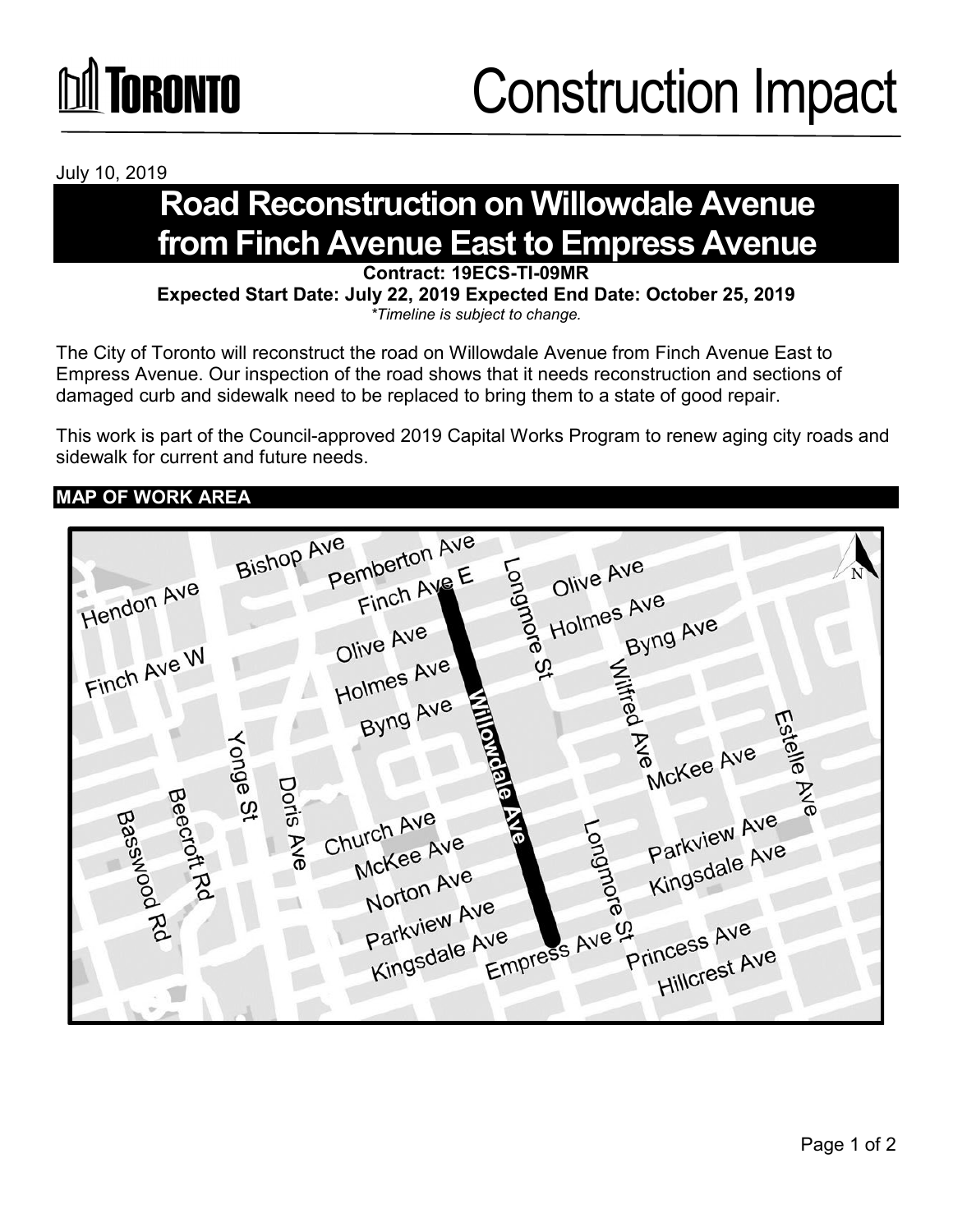

July 10, 2019

## **Road Reconstruction on Willowdale Avenue from Finch Avenue East to Empress Avenue**<br>Contract: 19ECS-TI-09MR

**Expected Start Date: July 22, 2019 Expected End Date: October 25, 2019** *\*Timeline is subject to change.*

The City of Toronto will reconstruct the road on Willowdale Avenue from Finch Avenue East to Empress Avenue. Our inspection of the road shows that it needs reconstruction and sections of damaged curb and sidewalk need to be replaced to bring them to a state of good repair.

This work is part of the Council-approved 2019 Capital Works Program to renew aging city roads and sidewalk for current and future needs.

## **MAP OF WORK AREA**

|             | Pemberton Ave<br><b>Bishop Ave</b><br>Olive Ave<br>N                   |
|-------------|------------------------------------------------------------------------|
| Hendon Ave  | Finch Ave E<br>ongmore<br>Holmes Ave                                   |
| Finch Ave W | Byng Ave<br>Olive Ave<br>Holmes Ave<br>Q,                              |
|             | Wilkred<br>Byng Ave                                                    |
|             | Estelle<br><b>Romeia</b><br><b>Ave</b><br>Yonge St<br>McKee Ave        |
| Beecroft Rd | Doris<br>Z<br>$\infty$<br>Church Ave<br>န္စ                            |
| Basswood    | Parkview Ave<br>Forngmore<br>Ave<br>McKee Ave<br>Kingsdale Ave         |
| B           | Norton Ave<br>Parkview Ave                                             |
|             | Empress Ave 9<br>Princess Ave<br>Kingsdale Ave<br><b>Hillcrest Ave</b> |
|             |                                                                        |